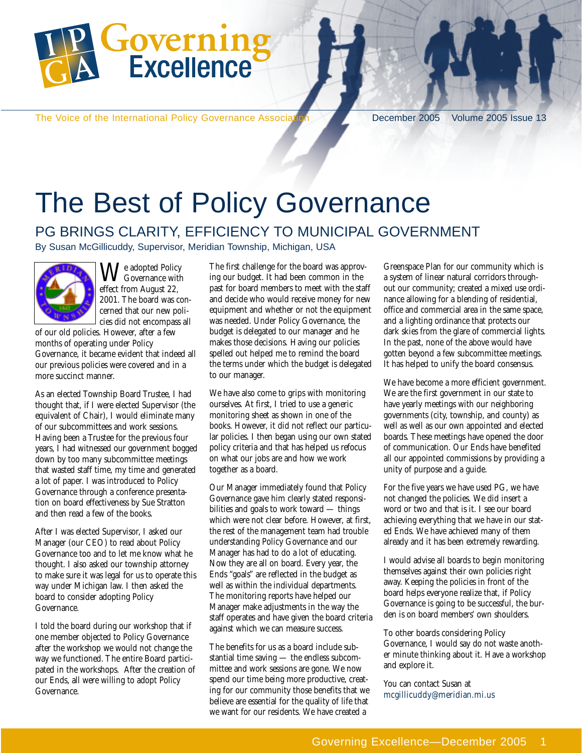

The Voice of the International Policy Governance Association December 2005 Volume 2005 Issue 13

# The Best of Policy Governance

## PG BRINGS CLARITY, EFFICIENCY TO MUNICIPAL GOVERNMENT

By Susan McGillicuddy, Supervisor, Meridian Township, Michigan, USA



 $\left(\bigwedge I$ e adopted Policy Governance with effect from August 22, 2001. The board was concerned that our new policies did not encompass all

of our old policies. However, after a few months of operating under Policy Governance, it became evident that indeed all our previous policies were covered and in a more succinct manner.

As an elected Township Board Trustee, I had thought that, if I were elected Supervisor (the equivalent of Chair), I would eliminate many of our subcommittees and work sessions. Having been a Trustee for the previous four years, I had witnessed our government bogged down by too many subcommittee meetings that wasted staff time, my time and generated a lot of paper. I was introduced to Policy Governance through a conference presentation on board effectiveness by Sue Stratton and then read a few of the books.

After I was elected Supervisor, I asked our Manager (our CEO) to read about Policy Governance too and to let me know what he thought. I also asked our township attorney to make sure it was legal for us to operate this way under Michigan law. I then asked the board to consider adopting Policy Governance.

I told the board during our workshop that if one member objected to Policy Governance after the workshop we would not change the way we functioned. The entire Board participated in the workshops. After the creation of our Ends, all were willing to adopt Policy Governance.

The first challenge for the board was approving our budget. It had been common in the past for board members to meet with the staff and decide who would receive money for new equipment and whether or not the equipment was needed. Under Policy Governance, the budget is delegated to our manager and he makes those decisions. Having our policies spelled out helped me to remind the board the terms under which the budget is delegated to our manager.

We have also come to grips with monitoring ourselves. At first, I tried to use a generic monitoring sheet as shown in one of the books. However, it did not reflect our particular policies. I then began using our own stated policy criteria and that has helped us refocus on what our jobs are and how we work together as a board.

Our Manager immediately found that Policy Governance gave him clearly stated responsibilities and goals to work toward — things which were not clear before. However, at first, the rest of the management team had trouble understanding Policy Governance and our Manager has had to do a lot of educating. Now they are all on board. Every year, the Ends "goals" are reflected in the budget as well as within the individual departments. The monitoring reports have helped our Manager make adjustments in the way the staff operates and have given the board criteria against which we can measure success.

The benefits for us as a board include substantial time saving — the endless subcommittee and work sessions are gone. We now spend our time being more productive, creating for our community those benefits that we believe are essential for the quality of life that we want for our residents. We have created a

Greenspace Plan for our community which is a system of linear natural corridors throughout our community; created a mixed use ordinance allowing for a blending of residential, office and commercial area in the same space, and a lighting ordinance that protects our dark skies from the glare of commercial lights. In the past, none of the above would have gotten beyond a few subcommittee meetings. It has helped to unify the board consensus.

We have become a more efficient government. We are the first government in our state to have yearly meetings with our neighboring governments (city, township, and county) as well as well as our own appointed and elected boards. These meetings have opened the door of communication. Our Ends have benefited all our appointed commissions by providing a unity of purpose and a guide.

For the five years we have used PG, we have not changed the policies. We did insert a word or two and that is it. I see our board achieving everything that we have in our stated Ends. We have achieved many of them already and it has been extremely rewarding.

I would advise all boards to begin monitoring themselves against their own policies right away. Keeping the policies in front of the board helps everyone realize that, if Policy Governance is going to be successful, the burden is on board members' own shoulders.

To other boards considering Policy Governance, I would say do not waste another minute thinking about it. Have a workshop and explore it.

You can contact Susan at mcgillicuddy@meridian.mi.us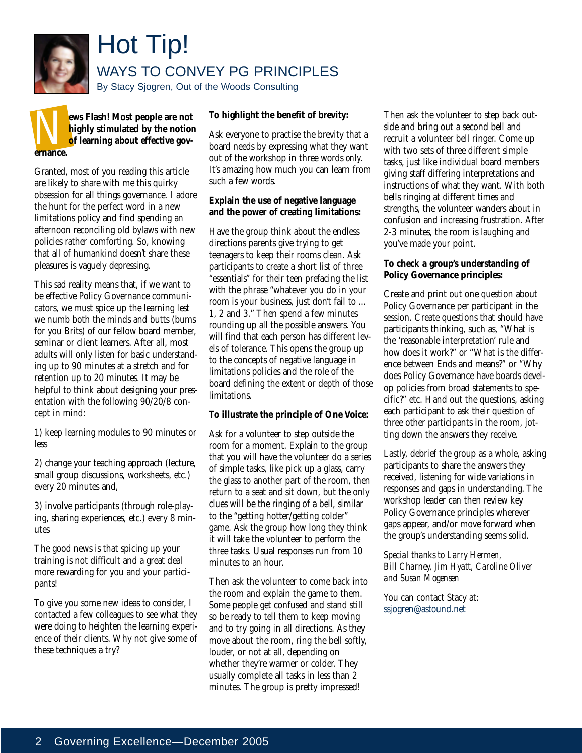

# Hot Tip!

## WAYS TO CONVEY PG PRINCIPLES

By Stacy Sjogren, Out of the Woods Consulting

**News Flash! Most people are not** highly stimulated by the notion of learning about effective governance. **highly stimulated by the notion of learning about effective governance.**

Granted, most of you reading this article are likely to share with me this quirky obsession for all things governance. I adore the hunt for the perfect word in a new limitations policy and find spending an afternoon reconciling old bylaws with new policies rather comforting. So, knowing that all of humankind doesn't share these pleasures is vaguely depressing.

This sad reality means that, if we want to be effective Policy Governance communicators, we must spice up the learning lest we numb both the minds and butts (bums for you Brits) of our fellow board member, seminar or client learners. After all, most adults will only listen for basic understanding up to 90 minutes at a stretch and for retention up to 20 minutes. It may be helpful to think about designing your presentation with the following 90/20/8 concept in mind:

1) keep learning modules to 90 minutes or less

2) change your teaching approach (lecture, small group discussions, worksheets, etc.) every 20 minutes and,

3) involve participants (through role-playing, sharing experiences, etc.) every 8 minutes

The good news is that spicing up your training is not difficult and a great deal more rewarding for you and your participants!

To give you some new ideas to consider, I contacted a few colleagues to see what they were doing to heighten the learning experience of their clients. Why not give some of these techniques a try?

#### **To highlight the benefit of brevity:**

Ask everyone to practise the brevity that a board needs by expressing what they want out of the workshop in three words *only*. It's amazing how much you can learn from such a few words.

#### **Explain the use of negative language and the power of creating limitations:**

Have the group think about the endless directions parents give trying to get teenagers to keep their rooms clean. Ask participants to create a short list of three "essentials" for their teen prefacing the list with the phrase "whatever you do in your room is your business, just don't fail to ... 1, 2 and 3." Then spend a few minutes rounding up all the possible answers. You will find that each person has different levels of tolerance. This opens the group up to the concepts of negative language in limitations policies and the role of the board defining the extent or depth of those limitations.

#### **To illustrate the principle of One Voice:**

Ask for a volunteer to step outside the room for a moment. Explain to the group that you will have the volunteer do a series of simple tasks, like pick up a glass, carry the glass to another part of the room, then return to a seat and sit down, but the only clues will be the ringing of a bell, similar to the "getting hotter/getting colder" game. Ask the group how long they think it will take the volunteer to perform the three tasks. Usual responses run from 10 minutes to an hour.

Then ask the volunteer to come back into the room and explain the game to them. Some people get confused and stand still so be ready to tell them to keep moving and to try going in all directions. As they move about the room, ring the bell softly, louder, or not at all, depending on whether they're warmer or colder. They usually complete all tasks in less than 2 minutes. The group is pretty impressed!

Then ask the volunteer to step back outside and bring out a second bell and recruit a volunteer bell ringer. Come up with two sets of three different simple tasks, just like individual board members giving staff differing interpretations and instructions of what they want. With both bells ringing at different times and strengths, the volunteer wanders about in confusion and increasing frustration. After 2-3 minutes, the room is laughing and you've made your point.

#### **To check a group's understanding of Policy Governance principles:**

Create and print out one question about Policy Governance per participant in the session. Create questions that should have participants thinking, such as, "What is the 'reasonable interpretation' rule and how does it work?" or "What is the difference between Ends and means?" or "Why does Policy Governance have boards develop policies from broad statements to specific?" etc. Hand out the questions, asking each participant to ask their question of three other participants in the room, jotting down the answers they receive.

Lastly, debrief the group as a whole, asking participants to share the answers they received, listening for wide variations in responses and gaps in understanding. The workshop leader can then review key Policy Governance principles wherever gaps appear, and/or move forward when the group's understanding seems solid.

*Special thanks to Larry Hermen, Bill Charney, Jim Hyatt, Caroline Oliver and Susan Mogensen*

You can contact Stacy at: ssjogren@astound.net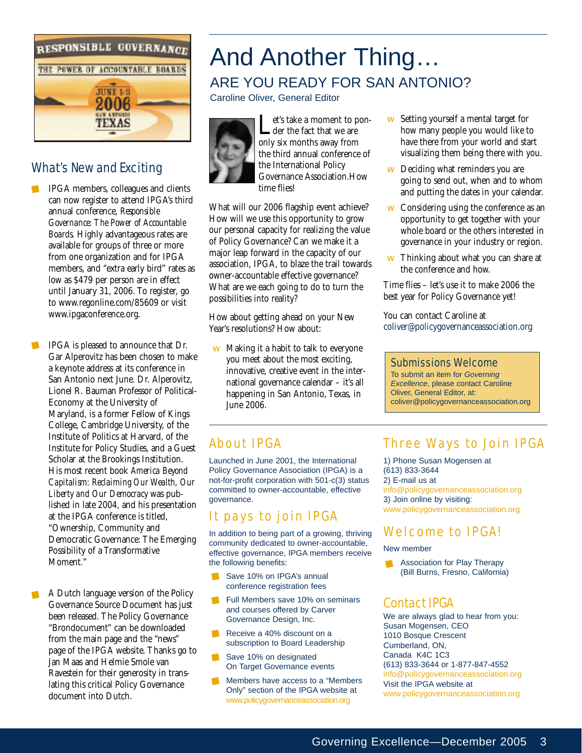

#### What's New and Exciting

- IPGA members, colleagues and clients can now register to attend IPGA's third annual conference, *Responsible Governance: The Power of Accountable Boards*. Highly advantageous rates are available for groups of three or more from one organization and for IPGA members, and "extra early bird" rates as low as \$479 per person are in effect until January 31, 2006. To register, go to www.regonline.com/85609 or visit www.ipgaconference.org.
- IPGA is pleased to announce that Dr.  $\mathcal{L}$ Gar Alperovitz has been chosen to make a keynote address at its conference in San Antonio next June. Dr. Alperovitz, Lionel R. Bauman Professor of Political-Economy at the University of Maryland, is a former Fellow of Kings College, Cambridge University, of the Institute of Politics at Harvard, of the Institute for Policy Studies, and a Guest Scholar at the Brookings Institution. His most recent book *America Beyond Capitalism: Reclaiming Our Wealth, Our Liberty and Our Democracy* was published in late 2004, and his presentation at the IPGA conference is titled, "Ownership, Community and Democratic Governance: The Emerging Possibility of a Transformative Moment."
- A Dutch language version of the Policy Governance Source Document has just been released. The Policy Governance "Brondocument" can be downloaded from the main page and the "news" page of the IPGA website. Thanks go to Jan Maas and Helmie Smole van Ravestein for their generosity in translating this critical Policy Governance document into Dutch.

## And Another Thing… ARE YOU READY FOR SAN ANTONIO?

Caroline Oliver, General Editor



 $\prod_{\text{def}}$  et's take a moment to pononly six months away from the third annual conference of the International Policy Governance Association.How time flies!

What will our 2006 flagship event achieve? How will we use this opportunity to grow our personal capacity for realizing the value of Policy Governance? Can we make it a major leap forward in the capacity of our association, IPGA, to blaze the trail towards owner-accountable effective governance? What are we each going to do to turn the possibilities into reality?

How about getting ahead on your New Year's resolutions? How about:

w Making it a habit to talk to everyone you meet about the most exciting, innovative, creative event in the international governance calendar – it's all happening in San Antonio, Texas, in June 2006.

- w Setting yourself a mental target for how many people you would like to have there from your world and start visualizing them being there with you.
- w Deciding what reminders you are going to send out, when and to whom and putting the dates in your calendar.
- w Considering using the conference as an opportunity to get together with your whole board or the others interested in governance in your industry or region.
- Thinking about what you can share at the conference and how.

Time flies – let's use it to make 2006 the best year for Policy Governance yet!

You can contact Caroline at coliver@policygovernanceassociation.org

Submissions Welcome To submit an item for Governing Excellence, please contact Caroline Oliver, General Editor, at: coliver@policygovernanceassociation.org

### About IPGA

Launched in June 2001, the International Policy Governance Association (IPGA) is a not-for-profit corporation with 501-c(3) status committed to owner-accountable, effective governance.

### It pays to join IPGA

In addition to being part of a growing, thriving community dedicated to owner-accountable, effective governance, IPGA members receive the following benefits:

- Save 10% on IPGA's annual conference registration fees
- $\blacksquare$ Full Members save 10% on seminars and courses offered by Carver Governance Design, Inc.
- Receive a 40% discount on a subscription to Board Leadership
- Save 10% on designated On Target Governance events
- Members have access to a "Members Only" section of the IPGA website at www.policygovernanceassociation.org

## Three Ways to Join IPGA

1) Phone Susan Mogensen at (613) 833-3644 2) E-mail us at info@policygovernanceassociation.org 3) Join online by visiting: www.policygovernanceassociation.org

#### Welcome to IPGA!

#### New member

**Association for Play Therapy** (Bill Burns, Fresno, California)

#### Contact IPGA

We are always glad to hear from you: Susan Mogensen, CEO 1010 Bosque Crescent Cumberland, ON, Canada K4C 1C3 (613) 833-3644 or 1-877-847-4552 info@policygovernanceassociation.org Visit the IPGA website at www.policygovernanceassociation.org